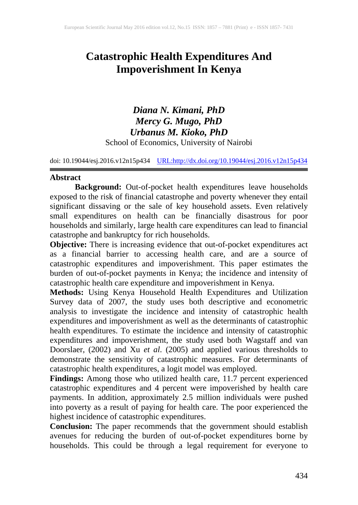# **Catastrophic Health Expenditures And Impoverishment In Kenya**

*Diana N. Kimani, PhD Mercy G. Mugo, PhD Urbanus M. Kioko, PhD* School of Economics, University of Nairobi

doi: 10.19044/esj.2016.v12n15p434 [URL:http://dx.doi.org/10.19044/esj.2016.v12n15p434](http://dx.doi.org/10.19044/esj.2016.v12n15p434)

### **Abstract**

**Background:** Out-of-pocket health expenditures leave households exposed to the risk of financial catastrophe and poverty whenever they entail significant dissaving or the sale of key household assets. Even relatively small expenditures on health can be financially disastrous for poor households and similarly, large health care expenditures can lead to financial catastrophe and bankruptcy for rich households.

**Objective:** There is increasing evidence that out-of-pocket expenditures act as a financial barrier to accessing health care, and are a source of catastrophic expenditures and impoverishment. This paper estimates the burden of out-of-pocket payments in Kenya; the incidence and intensity of catastrophic health care expenditure and impoverishment in Kenya.

**Methods:** Using Kenya Household Health Expenditures and Utilization Survey data of 2007, the study uses both descriptive and econometric analysis to investigate the incidence and intensity of catastrophic health expenditures and impoverishment as well as the determinants of catastrophic health expenditures. To estimate the incidence and intensity of catastrophic expenditures and impoverishment, the study used both Wagstaff and van Doorslaer, (2002) and Xu *et al*. (2005) and applied various thresholds to demonstrate the sensitivity of catastrophic measures. For determinants of catastrophic health expenditures, a logit model was employed.

**Findings:** Among those who utilized health care, 11.7 percent experienced catastrophic expenditures and 4 percent were impoverished by health care payments. In addition, approximately 2.5 million individuals were pushed into poverty as a result of paying for health care. The poor experienced the highest incidence of catastrophic expenditures.

**Conclusion:** The paper recommends that the government should establish avenues for reducing the burden of out-of-pocket expenditures borne by households. This could be through a legal requirement for everyone to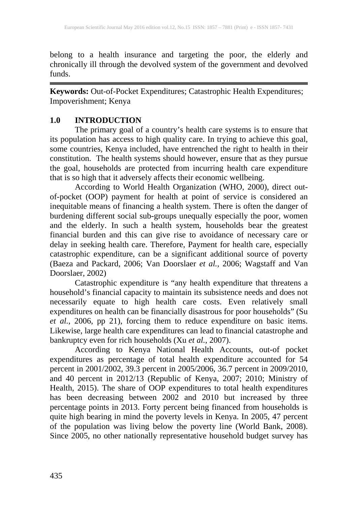belong to a health insurance and targeting the poor, the elderly and chronically ill through the devolved system of the government and devolved funds.

**Keywords:** Out-of-Pocket Expenditures; Catastrophic Health Expenditures; Impoverishment; Kenya

# **1.0 INTRODUCTION**

The primary goal of a country's health care systems is to ensure that its population has access to high quality care. In trying to achieve this goal, some countries, Kenya included, have entrenched the right to health in their constitution. The health systems should however, ensure that as they pursue the goal, households are protected from incurring health care expenditure that is so high that it adversely affects their economic wellbeing.

According to World Health Organization (WHO, 2000), direct outof-pocket (OOP) payment for health at point of service is considered an inequitable means of financing a health system. There is often the danger of burdening different social sub-groups unequally especially the poor, women and the elderly. In such a health system, households bear the greatest financial burden and this can give rise to avoidance of necessary care or delay in seeking health care. Therefore, Payment for health care, especially catastrophic expenditure, can be a significant additional source of poverty (Baeza and Packard, 2006; Van Doorslaer *et al.*, 2006; Wagstaff and Van Doorslaer, 2002)

Catastrophic expenditure is "any health expenditure that threatens a household's financial capacity to maintain its subsistence needs and does not necessarily equate to high health care costs. Even relatively small expenditures on health can be financially disastrous for poor households" (Su *et al.*, 2006, pp 21), forcing them to reduce expenditure on basic items. Likewise, large health care expenditures can lead to financial catastrophe and bankruptcy even for rich households (Xu *et al.*, 2007).

According to Kenya National Health Accounts, out-of pocket expenditures as percentage of total health expenditure accounted for 54 percent in 2001/2002, 39.3 percent in 2005/2006, 36.7 percent in 2009/2010, and 40 percent in 2012/13 (Republic of Kenya, 2007; 2010; Ministry of Health, 2015). The share of OOP expenditures to total health expenditures has been decreasing between 2002 and 2010 but increased by three percentage points in 2013. Forty percent being financed from households is quite high bearing in mind the poverty levels in Kenya. In 2005, 47 percent of the population was living below the poverty line (World Bank, 2008). Since 2005, no other nationally representative household budget survey has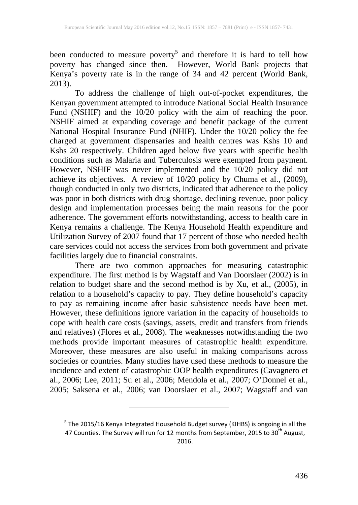been conducted to measure poverty<sup>5</sup> and therefore it is hard to tell how poverty has changed since then. However, World Bank projects that Kenya's poverty rate is in the range of 34 and 42 percent (World Bank,  $2013$ ).

To address the challenge of high out-of-pocket expenditures, the Kenyan government attempted to introduce National Social Health Insurance Fund (NSHIF) and the 10/20 policy with the aim of reaching the poor. NSHIF aimed at expanding coverage and benefit package of the current National Hospital Insurance Fund (NHIF). Under the 10/20 policy the fee charged at government dispensaries and health centres was Kshs 10 and Kshs 20 respectively. Children aged below five years with specific health conditions such as Malaria and Tuberculosis were exempted from payment. However, NSHIF was never implemented and the 10/20 policy did not achieve its objectives. A review of 10/20 policy by Chuma et al., (2009), though conducted in only two districts, indicated that adherence to the policy was poor in both districts with drug shortage, declining revenue, poor policy design and implementation processes being the main reasons for the poor adherence. The government efforts notwithstanding, access to health care in Kenya remains a challenge. The Kenya Household Health expenditure and Utilization Survey of 2007 found that 17 percent of those who needed health care services could not access the services from both government and private facilities largely due to financial constraints.

There are two common approaches for measuring catastrophic expenditure. The first method is by Wagstaff and Van Doorslaer (2002) is in relation to budget share and the second method is by Xu, et al., (2005), in relation to a household's capacity to pay. They define household's capacity to pay as remaining income after basic subsistence needs have been met. However, these definitions ignore variation in the capacity of households to cope with health care costs (savings, assets, credit and transfers from friends and relatives) (Flores et al., 2008). The weaknesses notwithstanding the two methods provide important measures of catastrophic health expenditure. Moreover, these measures are also useful in making comparisons across societies or countries. Many studies have used these methods to measure the incidence and extent of catastrophic OOP health expenditures (Cavagnero et al., 2006; Lee, 2011; Su et al., 2006; Mendola et al., 2007; O'Donnel et al., 2005; Saksena et al., 2006; van Doorslaer et al., 2007; Wagstaff and van

 $^5$  The 2015/16 Kenya Integrated Household Budget survey (KIHBS) is ongoing in all the 47 Counties. The Survey will run for 12 months from September, 2015 to 30 $^{\rm th}$  August, 2016.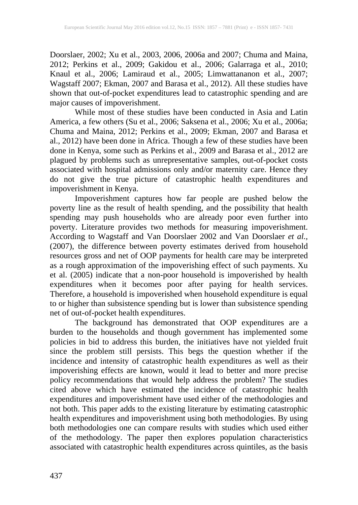Doorslaer, 2002; Xu et al., 2003, 2006, 2006a and 2007; Chuma and Maina, 2012; Perkins et al., 2009; Gakidou et al., 2006; Galarraga et al., 2010; Knaul et al., 2006; Lamiraud et al., 2005; Limwattananon et al., 2007; Wagstaff 2007; Ekman, 2007 and Barasa et al., 2012). All these studies have shown that out-of-pocket expenditures lead to catastrophic spending and are major causes of impoverishment.

While most of these studies have been conducted in Asia and Latin America, a few others (Su et al., 2006; Saksena et al., 2006; Xu et al., 2006a; Chuma and Maina, 2012; Perkins et al., 2009; Ekman, 2007 and Barasa et al., 2012) have been done in Africa. Though a few of these studies have been done in Kenya, some such as Perkins et al., 2009 and Barasa et al., 2012 are plagued by problems such as unrepresentative samples, out-of-pocket costs associated with hospital admissions only and/or maternity care. Hence they do not give the true picture of catastrophic health expenditures and impoverishment in Kenya.

Impoverishment captures how far people are pushed below the poverty line as the result of health spending, and the possibility that health spending may push households who are already poor even further into poverty. Literature provides two methods for measuring impoverishment. According to Wagstaff and Van Doorslaer 2002 and Van Doorslaer *et al.,* (2007), the difference between poverty estimates derived from household resources gross and net of OOP payments for health care may be interpreted as a rough approximation of the impoverishing effect of such payments. Xu et al. (2005) indicate that a non-poor household is impoverished by health expenditures when it becomes poor after paying for health services. Therefore, a household is impoverished when household expenditure is equal to or higher than subsistence spending but is lower than subsistence spending net of out-of-pocket health expenditures.

The background has demonstrated that OOP expenditures are a burden to the households and though government has implemented some policies in bid to address this burden, the initiatives have not yielded fruit since the problem still persists. This begs the question whether if the incidence and intensity of catastrophic health expenditures as well as their impoverishing effects are known, would it lead to better and more precise policy recommendations that would help address the problem? The studies cited above which have estimated the incidence of catastrophic health expenditures and impoverishment have used either of the methodologies and not both. This paper adds to the existing literature by estimating catastrophic health expenditures and impoverishment using both methodologies. By using both methodologies one can compare results with studies which used either of the methodology. The paper then explores population characteristics associated with catastrophic health expenditures across quintiles, as the basis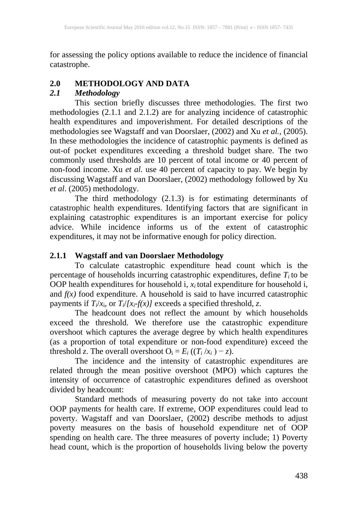for assessing the policy options available to reduce the incidence of financial catastrophe.

## **2.0 METHODOLOGY AND DATA**

## *2.1 Methodology*

This section briefly discusses three methodologies. The first two methodologies (2.1.1 and 2.1.2) are for analyzing incidence of catastrophic health expenditures and impoverishment. For detailed descriptions of the methodologies see Wagstaff and van Doorslaer, (2002) and Xu *et al.,* (2005). In these methodologies the incidence of catastrophic payments is defined as out-of pocket expenditures exceeding a threshold budget share. The two commonly used thresholds are 10 percent of total income or 40 percent of non-food income. Xu *et al.* use 40 percent of capacity to pay. We begin by discussing Wagstaff and van Doorslaer, (2002) methodology followed by Xu *et al*. (2005) methodology.

The third methodology (2.1.3) is for estimating determinants of catastrophic health expenditures. Identifying factors that are significant in explaining catastrophic expenditures is an important exercise for policy advice. While incidence informs us of the extent of catastrophic expenditures, it may not be informative enough for policy direction.

## **2.1.1 Wagstaff and van Doorslaer Methodology**

To calculate catastrophic expenditure head count which is the percentage of households incurring catastrophic expenditures, define  $T_i$  to be OOP health expenditures for household i,  $x_i$  total expenditure for household i, and *f(x)* food expenditure. A household is said to have incurred catastrophic payments if *Ti*/*x*i, or *Ti*/*[xi-f(x)]* exceeds a specified threshold, *z*.

The headcount does not reflect the amount by which households exceed the threshold. We therefore use the catastrophic expenditure overshoot which captures the average degree by which health expenditures (as a proportion of total expenditure or non-food expenditure) exceed the threshold *z*. The overall overshoot  $O_i = E_i ((T_i / x_i) - z)$ .

 The incidence and the intensity of catastrophic expenditures are related through the mean positive overshoot (MPO) which captures the intensity of occurrence of catastrophic expenditures defined as overshoot divided by headcount:

Standard methods of measuring poverty do not take into account OOP payments for health care. If extreme, OOP expenditures could lead to poverty. Wagstaff and van Doorslaer, (2002) describe methods to adjust poverty measures on the basis of household expenditure net of OOP spending on health care. The three measures of poverty include; 1) Poverty head count, which is the proportion of households living below the poverty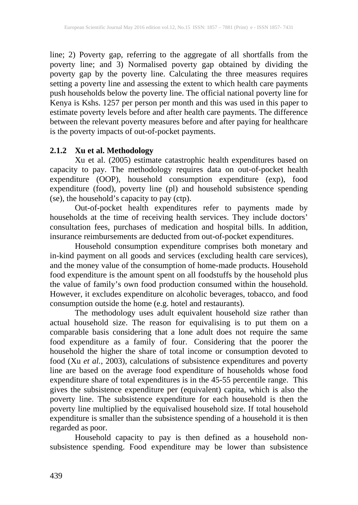line; 2) Poverty gap, referring to the aggregate of all shortfalls from the poverty line; and 3) Normalised poverty gap obtained by dividing the poverty gap by the poverty line. Calculating the three measures requires setting a poverty line and assessing the extent to which health care payments push households below the poverty line. The official national poverty line for Kenya is Kshs. 1257 per person per month and this was used in this paper to estimate poverty levels before and after health care payments. The difference between the relevant poverty measures before and after paying for healthcare is the poverty impacts of out-of-pocket payments.

## **2.1.2 Xu et al. Methodology**

Xu et al. (2005) estimate catastrophic health expenditures based on capacity to pay. The methodology requires data on out-of-pocket health expenditure (OOP), household consumption expenditure (exp), food expenditure (food), poverty line (pl) and household subsistence spending (se), the household's capacity to pay (ctp).

Out-of-pocket health expenditures refer to payments made by households at the time of receiving health services. They include doctors' consultation fees, purchases of medication and hospital bills. In addition, insurance reimbursements are deducted from out-of-pocket expenditures.

Household consumption expenditure comprises both monetary and in-kind payment on all goods and services (excluding health care services), and the money value of the consumption of home-made products. Household food expenditure is the amount spent on all foodstuffs by the household plus the value of family's own food production consumed within the household. However, it excludes expenditure on alcoholic beverages, tobacco, and food consumption outside the home (e.g. hotel and restaurants).

The methodology uses adult equivalent household size rather than actual household size. The reason for equivalising is to put them on a comparable basis considering that a lone adult does not require the same food expenditure as a family of four. Considering that the poorer the household the higher the share of total income or consumption devoted to food (Xu *et al.*, 2003), calculations of subsistence expenditures and poverty line are based on the average food expenditure of households whose food expenditure share of total expenditures is in the 45-55 percentile range. This gives the subsistence expenditure per (equivalent) capita, which is also the poverty line. The subsistence expenditure for each household is then the poverty line multiplied by the equivalised household size. If total household expenditure is smaller than the subsistence spending of a household it is then regarded as poor.

Household capacity to pay is then defined as a household nonsubsistence spending. Food expenditure may be lower than subsistence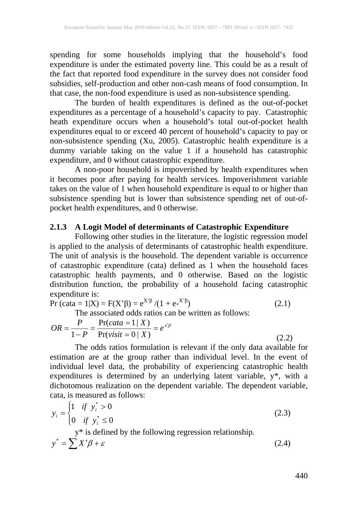spending for some households implying that the household's food expenditure is under the estimated poverty line. This could be as a result of the fact that reported food expenditure in the survey does not consider food subsidies, self-production and other non-cash means of food consumption. In that case, the non-food expenditure is used as non-subsistence spending.

The burden of health expenditures is defined as the out-of-pocket expenditures as a percentage of a household's capacity to pay. Catastrophic heath expenditure occurs when a household's total out-of-pocket health expenditures equal to or exceed 40 percent of household's capacity to pay or non-subsistence spending (Xu, 2005). Catastrophic health expenditure is a dummy variable taking on the value 1 if a household has catastrophic expenditure, and 0 without catastrophic expenditure.

A non-poor household is impoverished by health expenditures when it becomes poor after paying for health services. Impoverishment variable takes on the value of 1 when household expenditure is equal to or higher than subsistence spending but is lower than subsistence spending net of out-ofpocket health expenditures, and 0 otherwise.

### **2.1.3 A Logit Model of determinants of Catastrophic Expenditure**

Following other studies in the literature, the logistic regression model is applied to the analysis of determinants of catastrophic health expenditure. The unit of analysis is the household. The dependent variable is occurrence of catastrophic expenditure (cata) defined as 1 when the household faces catastrophic health payments, and 0 otherwise. Based on the logistic distribution function, the probability of a household facing catastrophic expenditure is:

$$
Pr(cata = 1|X) = F(X'\beta) = e^{X'\beta}/(1 + e^{-X'\beta})
$$
\n(2.1)

The associated odds ratios can be written as follows:

$$
OR = \frac{P}{1 - P} = \frac{\Pr(cata = 1 | X)}{\Pr(visit = 0 | X)} = e^{x'\beta}
$$
\n(2.2)

The odds ratios formulation is relevant if the only data available for estimation are at the group rather than individual level. In the event of individual level data, the probability of experiencing catastrophic health expenditures is determined by an underlying latent variable, y\*, with a dichotomous realization on the dependent variable. The dependent variable, cata, is measured as follows:

$$
y_i = \begin{cases} 1 & \text{if } y_i^* > 0 \\ 0 & \text{if } y_i^* \le 0 \end{cases}
$$
 (2.3)  
y\* is defined by the following regression relationship.

$$
y^* = \sum X'\beta + \varepsilon \tag{2.4}
$$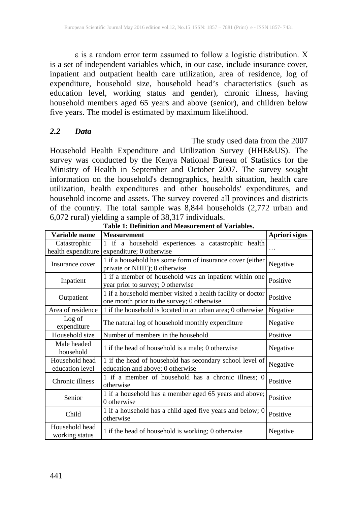ε is a random error term assumed to follow a logistic distribution. X is a set of independent variables which, in our case, include insurance cover, inpatient and outpatient health care utilization, area of residence, log of expenditure, household size, household head's characteristics (such as education level, working status and gender), chronic illness, having household members aged 65 years and above (senior), and children below five years. The model is estimated by maximum likelihood.

### *2.2 Data*

The study used data from the 2007 Household Health Expenditure and Utilization Survey (HHE&US). The survey was conducted by the Kenya National Bureau of Statistics for the Ministry of Health in September and October 2007. The survey sought information on the household's demographics, health situation, health care utilization, health expenditures and other households' expenditures, and household income and assets. The survey covered all provinces and districts of the country. The total sample was 8,844 households (2,772 urban and 6,072 rural) yielding a sample of 38,317 individuals.

| Variable name                      | <b>Measurement</b>                                                                                        | Apriori signs |
|------------------------------------|-----------------------------------------------------------------------------------------------------------|---------------|
| Catastrophic<br>health expenditure | 1 if a household experiences a catastrophic health<br>expenditure; 0 otherwise                            | $\cdots$      |
| Insurance cover                    | 1 if a household has some form of insurance cover (either<br>private or NHIF); 0 otherwise                | Negative      |
| Inpatient                          | 1 if a member of household was an inpatient within one<br>year prior to survey; 0 otherwise               | Positive      |
| Outpatient                         | 1 if a household member visited a health facility or doctor<br>one month prior to the survey; 0 otherwise | Positive      |
| Area of residence                  | 1 if the household is located in an urban area; 0 otherwise                                               | Negative      |
| Log of<br>expenditure              | The natural log of household monthly expenditure                                                          | Negative      |
| Household size                     | Number of members in the household                                                                        | Positive      |
| Male headed<br>household           | 1 if the head of household is a male; 0 otherwise                                                         | Negative      |
| Household head<br>education level  | 1 if the head of household has secondary school level of<br>education and above; 0 otherwise              | Negative      |
| Chronic illness                    | 1 if a member of household has a chronic illness; 0<br>otherwise                                          | Positive      |
| Senior                             | 1 if a household has a member aged 65 years and above;<br>0 otherwise                                     | Positive      |
| Child                              | 1 if a household has a child aged five years and below; 0<br>otherwise                                    | Positive      |
| Household head<br>working status   | 1 if the head of household is working; 0 otherwise                                                        | Negative      |

**Table 1: Definition and Measurement of Variables.**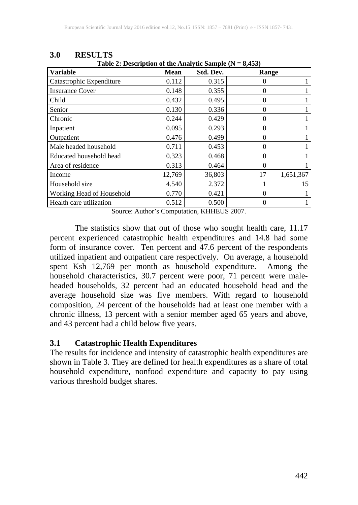| Table 2: Description of the Analytic Sample ( $N = 8,455$ ) |             |           |          |           |  |  |
|-------------------------------------------------------------|-------------|-----------|----------|-----------|--|--|
| <b>Variable</b>                                             | <b>Mean</b> | Std. Dev. | Range    |           |  |  |
| Catastrophic Expenditure                                    | 0.112       | 0.315     |          |           |  |  |
| <b>Insurance Cover</b>                                      | 0.148       | 0.355     | $\Omega$ |           |  |  |
| Child                                                       | 0.432       | 0.495     | 0        |           |  |  |
| Senior                                                      | 0.130       | 0.336     | 0        |           |  |  |
| Chronic                                                     | 0.244       | 0.429     | $\Omega$ |           |  |  |
| Inpatient                                                   | 0.095       | 0.293     | 0        |           |  |  |
| Outpatient                                                  | 0.476       | 0.499     | 0        |           |  |  |
| Male headed household                                       | 0.711       | 0.453     | 0        |           |  |  |
| Educated household head                                     | 0.323       | 0.468     | $\Omega$ |           |  |  |
| Area of residence                                           | 0.313       | 0.464     | 0        |           |  |  |
| Income                                                      | 12,769      | 36,803    | 17       | 1,651,367 |  |  |
| Household size                                              | 4.540       | 2.372     |          | 15        |  |  |
| Working Head of Household                                   | 0.770       | 0.421     | 0        |           |  |  |
| Health care utilization                                     | 0.512       | 0.500     | 0        |           |  |  |

**3.0 RESULTS Table 2: Description of the Analytic Sample (N = 8,453)**

Source: Author's Computation, KHHEUS 2007.

The statistics show that out of those who sought health care, 11.17 percent experienced catastrophic health expenditures and 14.8 had some form of insurance cover. Ten percent and 47.6 percent of the respondents utilized inpatient and outpatient care respectively. On average, a household spent Ksh 12,769 per month as household expenditure. Among the household characteristics, 30.7 percent were poor, 71 percent were maleheaded households, 32 percent had an educated household head and the average household size was five members. With regard to household composition, 24 percent of the households had at least one member with a chronic illness, 13 percent with a senior member aged 65 years and above, and 43 percent had a child below five years.

### **3.1 Catastrophic Health Expenditures**

The results for incidence and intensity of catastrophic health expenditures are shown in Table 3. They are defined for health expenditures as a share of total household expenditure, nonfood expenditure and capacity to pay using various threshold budget shares.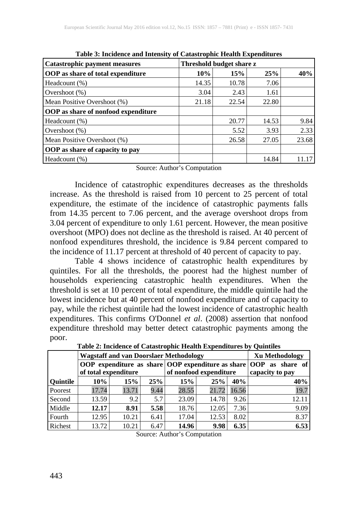| <b>Catastrophic payment measures</b>       | Threshold budget share z |       |       |       |  |
|--------------------------------------------|--------------------------|-------|-------|-------|--|
| <b>OOP</b> as share of total expenditure   | 10%                      | 15%   | 25%   | 40%   |  |
| Headcount (%)                              | 14.35                    | 10.78 | 7.06  |       |  |
| Overshoot $(\%)$                           | 3.04                     | 2.43  | 1.61  |       |  |
| Mean Positive Overshoot (%)                | 21.18                    | 22.54 | 22.80 |       |  |
| <b>OOP</b> as share of nonfood expenditure |                          |       |       |       |  |
| Headcount (%)                              |                          | 20.77 | 14.53 | 9.84  |  |
| Overshoot $(\%)$                           |                          | 5.52  | 3.93  | 2.33  |  |
| Mean Positive Overshoot (%)                |                          | 26.58 | 27.05 | 23.68 |  |
| OOP as share of capacity to pay            |                          |       |       |       |  |
| Headcount (%)                              |                          |       | 14.84 |       |  |

**Table 3: Incidence and Intensity of Catastrophic Health Expenditures**

Source: Author's Computation

Incidence of catastrophic expenditures decreases as the thresholds increase. As the threshold is raised from 10 percent to 25 percent of total expenditure, the estimate of the incidence of catastrophic payments falls from 14.35 percent to 7.06 percent, and the average overshoot drops from 3.04 percent of expenditure to only 1.61 percent. However, the mean positive overshoot (MPO) does not decline as the threshold is raised. At 40 percent of nonfood expenditures threshold, the incidence is 9.84 percent compared to the incidence of 11.17 percent at threshold of 40 percent of capacity to pay.

Table 4 shows incidence of catastrophic health expenditures by quintiles. For all the thresholds, the poorest had the highest number of households experiencing catastrophic health expenditures. When the threshold is set at 10 percent of total expenditure, the middle quintile had the lowest incidence but at 40 percent of nonfood expenditure and of capacity to pay, while the richest quintile had the lowest incidence of catastrophic health expenditures. This confirms O'Donnel *et al*. (2008) assertion that nonfood expenditure threshold may better detect catastrophic payments among the poor.

|                 | таря за нимисяте от сайвегорно неаки влренанатер от счинатер |       |      |                        |       |             |                       |
|-----------------|--------------------------------------------------------------|-------|------|------------------------|-------|-------------|-----------------------|
|                 | <b>Wagstaff and van Doorslaer Methodology</b>                |       |      |                        |       |             | <b>Xu Methodology</b> |
|                 | OOP expenditure as share OOP expenditure as share OOP        |       |      |                        |       | as share of |                       |
|                 | of total expenditure                                         |       |      | of nonfood expenditure |       |             | capacity to pay       |
| <b>Quintile</b> | $10\%$                                                       | 15%   | 25%  | 15%                    | 25%   | 40%         | 40%                   |
| Poorest         | 17.74                                                        | 13.71 | 9.44 | 28.55                  | 21.72 | 16.56       | 19.7                  |
| Second          | 13.59                                                        | 9.2   | 5.7  | 23.09                  | 14.78 | 9.26        | 12.11                 |
| Middle          | 12.17                                                        | 8.91  | 5.58 | 18.76                  | 12.05 | 7.36        | 9.09                  |
| Fourth          | 12.95                                                        | 10.21 | 6.41 | 17.04                  | 12.53 | 8.02        | 8.37                  |
| Richest         | 13.72                                                        | 10.21 | 6.47 | 14.96                  | 9.98  | 6.35        | 6.53                  |

**Table 2: Incidence of Catastrophic Health Expenditures by Quintiles**

Source: Author's Computation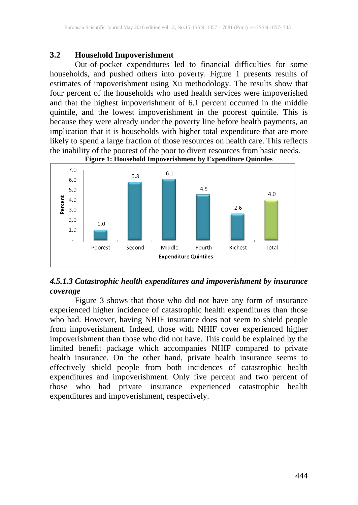#### **3.2 Household Impoverishment**

Out-of-pocket expenditures led to financial difficulties for some households, and pushed others into poverty. Figure 1 presents results of estimates of impoverishment using Xu methodology. The results show that four percent of the households who used health services were impoverished and that the highest impoverishment of 6.1 percent occurred in the middle quintile, and the lowest impoverishment in the poorest quintile. This is because they were already under the poverty line before health payments, an implication that it is households with higher total expenditure that are more likely to spend a large fraction of those resources on health care. This reflects the inability of the poorest of the poor to divert resources from basic needs.



# *4.5.1.3 Catastrophic health expenditures and impoverishment by insurance coverage*

Figure 3 shows that those who did not have any form of insurance experienced higher incidence of catastrophic health expenditures than those who had. However, having NHIF insurance does not seem to shield people from impoverishment. Indeed, those with NHIF cover experienced higher impoverishment than those who did not have. This could be explained by the limited benefit package which accompanies NHIF compared to private health insurance. On the other hand, private health insurance seems to effectively shield people from both incidences of catastrophic health expenditures and impoverishment. Only five percent and two percent of those who had private insurance experienced catastrophic health expenditures and impoverishment, respectively.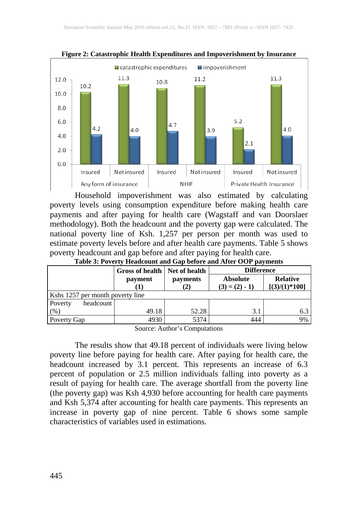

**Figure 2: Catastrophic Health Expenditures and Impoverishment by Insurance**

Household impoverishment was also estimated by calculating poverty levels using consumption expenditure before making health care payments and after paying for health care (Wagstaff and van Doorslaer methodology). Both the headcount and the poverty gap were calculated. The national poverty line of Ksh. 1,257 per person per month was used to estimate poverty levels before and after health care payments. Table 5 shows poverty headcount and gap before and after paying for health care.

| Table 3: Poverty Headcount and Gap before and After OOP payments |
|------------------------------------------------------------------|
|------------------------------------------------------------------|

|                                  | Gross of health   Net of health |                         | <b>Difference</b>                  |                                    |
|----------------------------------|---------------------------------|-------------------------|------------------------------------|------------------------------------|
|                                  | payment<br>Ш                    | <b>payments</b><br>ا کے | <b>Absolute</b><br>$(3) = (2) - 1$ | <b>Relative</b><br>$[(3)/(1)*100]$ |
| Kshs 1257 per month poverty line |                                 |                         |                                    |                                    |
| headcount<br>Poverty             |                                 |                         |                                    |                                    |
| (% )                             | 49.18                           | 52.28                   | 3.1                                | 6.3                                |
| Poverty Gap                      | 4930                            | 5374                    | 444                                | 9%                                 |

Source: Author's Computations

The results show that 49.18 percent of individuals were living below poverty line before paying for health care. After paying for health care, the headcount increased by 3.1 percent. This represents an increase of 6.3 percent of population or 2.5 million individuals falling into poverty as a result of paying for health care. The average shortfall from the poverty line (the poverty gap) was Ksh 4,930 before accounting for health care payments and Ksh 5,374 after accounting for health care payments. This represents an increase in poverty gap of nine percent. Table 6 shows some sample characteristics of variables used in estimations.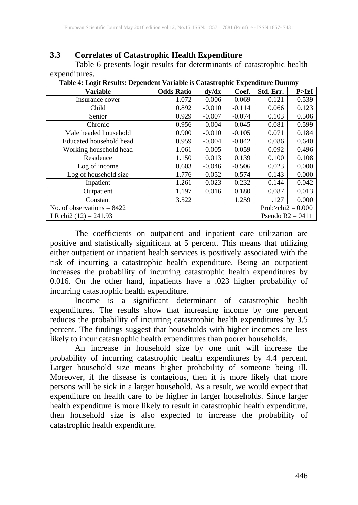## **3.3 Correlates of Catastrophic Health Expenditure**

Table 6 presents logit results for determinants of catastrophic health expenditures.

| <b>Variable</b>                               | <b>Odds Ratio</b> | dy/dx    | Coef.    | Std. Err.               | P > IzI |
|-----------------------------------------------|-------------------|----------|----------|-------------------------|---------|
| Insurance cover                               | 1.072             | 0.006    | 0.069    | 0.121                   | 0.539   |
| Child                                         | 0.892             | $-0.010$ | $-0.114$ | 0.066                   | 0.123   |
| Senior                                        | 0.929             | $-0.007$ | $-0.074$ | 0.103                   | 0.506   |
| Chronic                                       | 0.956             | $-0.004$ | $-0.045$ | 0.081                   | 0.599   |
| Male headed household                         | 0.900             | $-0.010$ | $-0.105$ | 0.071                   | 0.184   |
| Educated household head                       | 0.959             | $-0.004$ | $-0.042$ | 0.086                   | 0.640   |
| Working household head                        | 1.061             | 0.005    | 0.059    | 0.092                   | 0.496   |
| Residence                                     | 1.150             | 0.013    | 0.139    | 0.100                   | 0.108   |
| Log of income                                 | 0.603             | $-0.046$ | $-0.506$ | 0.023                   | 0.000   |
| Log of household size                         | 1.776             | 0.052    | 0.574    | 0.143                   | 0.000   |
| Inpatient                                     | 1.261             | 0.023    | 0.232    | 0.144                   | 0.042   |
| Outpatient                                    | 1.197             | 0.016    | 0.180    | 0.087                   | 0.013   |
| Constant                                      | 3.522             |          | 1.259    | 1.127                   | 0.000   |
| No. of observations $= 8422$                  |                   |          |          | Prob $\ge$ chi2 = 0.000 |         |
| LR chi2 $(12) = 241.93$<br>Pseudo $R2 = 0411$ |                   |          |          |                         |         |

**Table 4: Logit Results: Dependent Variable is Catastrophic Expenditure Dummy**

The coefficients on outpatient and inpatient care utilization are positive and statistically significant at 5 percent. This means that utilizing either outpatient or inpatient health services is positively associated with the risk of incurring a catastrophic health expenditure. Being an outpatient increases the probability of incurring catastrophic health expenditures by 0.016. On the other hand, inpatients have a .023 higher probability of incurring catastrophic health expenditure.

Income is a significant determinant of catastrophic health expenditures. The results show that increasing income by one percent reduces the probability of incurring catastrophic health expenditures by 3.5 percent. The findings suggest that households with higher incomes are less likely to incur catastrophic health expenditures than poorer households.

An increase in household size by one unit will increase the probability of incurring catastrophic health expenditures by 4.4 percent. Larger household size means higher probability of someone being ill. Moreover, if the disease is contagious, then it is more likely that more persons will be sick in a larger household. As a result, we would expect that expenditure on health care to be higher in larger households. Since larger health expenditure is more likely to result in catastrophic health expenditure, then household size is also expected to increase the probability of catastrophic health expenditure.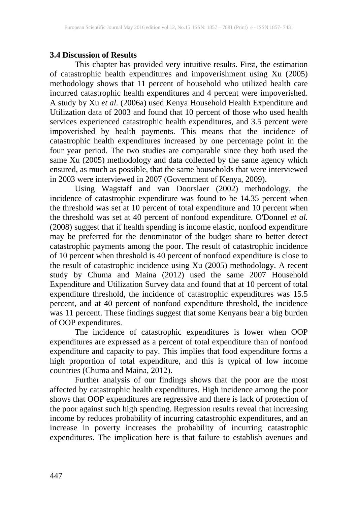#### **3.4 Discussion of Results**

This chapter has provided very intuitive results. First, the estimation of catastrophic health expenditures and impoverishment using Xu (2005) methodology shows that 11 percent of household who utilized health care incurred catastrophic health expenditures and 4 percent were impoverished. A study by Xu *et al.* (2006a) used Kenya Household Health Expenditure and Utilization data of 2003 and found that 10 percent of those who used health services experienced catastrophic health expenditures, and 3.5 percent were impoverished by health payments. This means that the incidence of catastrophic health expenditures increased by one percentage point in the four year period. The two studies are comparable since they both used the same Xu (2005) methodology and data collected by the same agency which ensured, as much as possible, that the same households that were interviewed in 2003 were interviewed in 2007 (Government of Kenya, 2009).

Using Wagstaff and van Doorslaer (2002) methodology, the incidence of catastrophic expenditure was found to be 14.35 percent when the threshold was set at 10 percent of total expenditure and 10 percent when the threshold was set at 40 percent of nonfood expenditure. O'Donnel *et al.* (2008) suggest that if health spending is income elastic, nonfood expenditure may be preferred for the denominator of the budget share to better detect catastrophic payments among the poor. The result of catastrophic incidence of 10 percent when threshold is 40 percent of nonfood expenditure is close to the result of catastrophic incidence using Xu (2005) methodology. A recent study by Chuma and Maina (2012) used the same 2007 Household Expenditure and Utilization Survey data and found that at 10 percent of total expenditure threshold, the incidence of catastrophic expenditures was 15.5 percent, and at 40 percent of nonfood expenditure threshold, the incidence was 11 percent. These findings suggest that some Kenyans bear a big burden of OOP expenditures.

The incidence of catastrophic expenditures is lower when OOP expenditures are expressed as a percent of total expenditure than of nonfood expenditure and capacity to pay. This implies that food expenditure forms a high proportion of total expenditure, and this is typical of low income countries (Chuma and Maina, 2012).

Further analysis of our findings shows that the poor are the most affected by catastrophic health expenditures. High incidence among the poor shows that OOP expenditures are regressive and there is lack of protection of the poor against such high spending. Regression results reveal that increasing income by reduces probability of incurring catastrophic expenditures, and an increase in poverty increases the probability of incurring catastrophic expenditures. The implication here is that failure to establish avenues and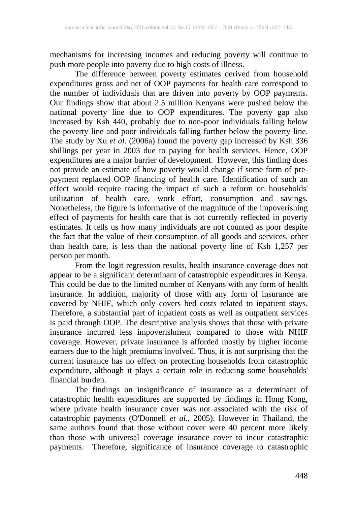mechanisms for increasing incomes and reducing poverty will continue to push more people into poverty due to high costs of illness.

The difference between poverty estimates derived from household expenditures gross and net of OOP payments for health care correspond to the number of individuals that are driven into poverty by OOP payments. Our findings show that about 2.5 million Kenyans were pushed below the national poverty line due to OOP expenditures. The poverty gap also increased by Ksh 440, probably due to non-poor individuals falling below the poverty line and poor individuals falling further below the poverty line. The study by Xu *et al.* (2006a) found the poverty gap increased by Ksh 336 shillings per year in 2003 due to paying for health services. Hence, OOP expenditures are a major barrier of development. However, this finding does not provide an estimate of how poverty would change if some form of prepayment replaced OOP financing of health care. Identification of such an effect would require tracing the impact of such a reform on households' utilization of health care, work effort, consumption and savings. Nonetheless, the figure is informative of the magnitude of the impoverishing effect of payments for health care that is not currently reflected in poverty estimates. It tells us how many individuals are not counted as poor despite the fact that the value of their consumption of all goods and services, other than health care, is less than the national poverty line of Ksh 1,257 per person per month.

From the logit regression results, health insurance coverage does not appear to be a significant determinant of catastrophic expenditures in Kenya. This could be due to the limited number of Kenyans with any form of health insurance. In addition, majority of those with any form of insurance are covered by NHIF, which only covers bed costs related to inpatient stays. Therefore, a substantial part of inpatient costs as well as outpatient services is paid through OOP. The descriptive analysis shows that those with private insurance incurred less impoverishment compared to those with NHIF coverage. However, private insurance is afforded mostly by higher income earners due to the high premiums involved. Thus, it is not surprising that the current insurance has no effect on protecting households from catastrophic expenditure, although it plays a certain role in reducing some households' financial burden.

The findings on insignificance of insurance as a determinant of catastrophic health expenditures are supported by findings in Hong Kong, where private health insurance cover was not associated with the risk of catastrophic payments (O'Donnell *et al.*, 2005). However in Thailand, the same authors found that those without cover were 40 percent more likely than those with universal coverage insurance cover to incur catastrophic payments. Therefore, significance of insurance coverage to catastrophic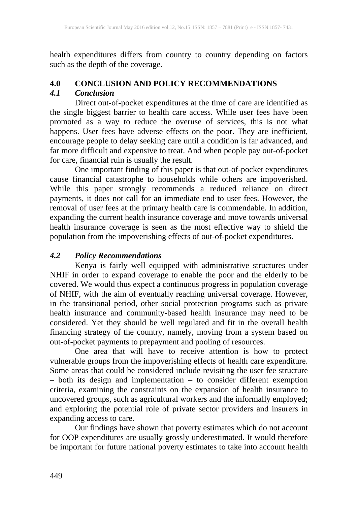health expenditures differs from country to country depending on factors such as the depth of the coverage.

## **4.0 CONCLUSION AND POLICY RECOMMENDATIONS**

## *4.1 Conclusion*

Direct out-of-pocket expenditures at the time of care are identified as the single biggest barrier to health care access. While user fees have been promoted as a way to reduce the overuse of services, this is not what happens. User fees have adverse effects on the poor. They are inefficient, encourage people to delay seeking care until a condition is far advanced, and far more difficult and expensive to treat. And when people pay out-of-pocket for care, financial ruin is usually the result.

One important finding of this paper is that out-of-pocket expenditures cause financial catastrophe to households while others are impoverished. While this paper strongly recommends a reduced reliance on direct payments, it does not call for an immediate end to user fees. However, the removal of user fees at the primary health care is commendable. In addition, expanding the current health insurance coverage and move towards universal health insurance coverage is seen as the most effective way to shield the population from the impoverishing effects of out-of-pocket expenditures.

### *4.2 Policy Recommendations*

Kenya is fairly well equipped with administrative structures under NHIF in order to expand coverage to enable the poor and the elderly to be covered. We would thus expect a continuous progress in population coverage of NHIF, with the aim of eventually reaching universal coverage. However, in the transitional period, other social protection programs such as private health insurance and community-based health insurance may need to be considered. Yet they should be well regulated and fit in the overall health financing strategy of the country, namely, moving from a system based on out-of-pocket payments to prepayment and pooling of resources.

One area that will have to receive attention is how to protect vulnerable groups from the impoverishing effects of health care expenditure. Some areas that could be considered include revisiting the user fee structure – both its design and implementation – to consider different exemption criteria, examining the constraints on the expansion of health insurance to uncovered groups, such as agricultural workers and the informally employed; and exploring the potential role of private sector providers and insurers in expanding access to care.

Our findings have shown that poverty estimates which do not account for OOP expenditures are usually grossly underestimated. It would therefore be important for future national poverty estimates to take into account health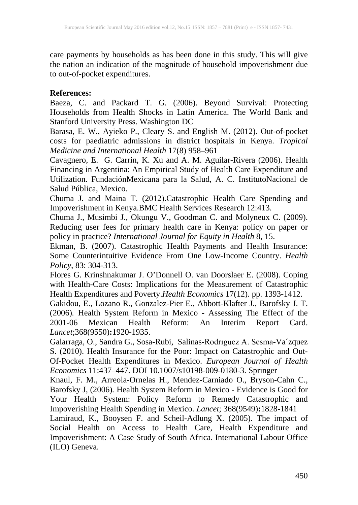care payments by households as has been done in this study. This will give the nation an indication of the magnitude of household impoverishment due to out-of-pocket expenditures.

#### **References:**

Baeza, C. and Packard T. G. (2006). Beyond Survival: Protecting Households from Health Shocks in Latin America. The World Bank and Stanford University Press. Washington DC

Barasa, E. W., Ayieko P., Cleary S. and English M. (2012). Out-of-pocket costs for paediatric admissions in district hospitals in Kenya. *Tropical Medicine and International Health* 17(8) 958–961

Cavagnero, E. G. Carrin, K. Xu and A. M. Aguilar-Rivera (2006). Health Financing in Argentina: An Empirical Study of Health Care Expenditure and Utilization. FundaciónMexicana para la Salud, A. C. InstitutoNacional de Salud Pública, Mexico.

Chuma J. and Maina T. (2012).Catastrophic Health Care Spending and Impoverishment in Kenya.BMC Health Services Research 12:413.

Chuma J., Musimbi J., Okungu V., Goodman C. and Molyneux C. (2009). Reducing user fees for primary health care in Kenya: policy on paper or policy in practice? *International Journal for Equity in Health* 8, 15.

Ekman, B. (2007). Catastrophic Health Payments and Health Insurance: Some Counterintuitive Evidence From One Low-Income Country. *Health Policy*, 83: 304-313.

Flores G. Krinshnakumar J. O'Donnell O. van Doorslaer E. (2008). Coping with Health-Care Costs: Implications for the Measurement of Catastrophic Health Expenditures and Poverty.*Health Economics* 17(12). pp. 1393-1412.

Gakidou, E., Lozano R., Gonzalez-Pier E., Abbott-Klafter J., Barofsky J. T. (2006)*.* Health System Reform in Mexico - Assessing The Effect of the 2001-06 Mexican Health Reform: An Interim Report Card. *Lancet*;368(9550)**:**1920-1935.

Galarraga, O., Sandra G., Sosa-Rubi, Salinas-Rodrıguez A. Sesma-Va´zquez S. (2010). Health Insurance for the Poor: Impact on Catastrophic and Out-Of-Pocket Health Expenditures in Mexico. *European Journal of Health Economics* 11:437–447. DOI 10.1007/s10198-009-0180-3. Springer

Knaul, F. M., Arreola-Ornelas H., Mendez-Carniado O., Bryson-Cahn C., Barofsky J, (2006)*.* Health System Reform in Mexico - Evidence is Good for Your Health System: Policy Reform to Remedy Catastrophic and Impoverishing Health Spending in Mexico. *Lancet*; 368(9549)**:**1828-1841

Lamiraud, K., Booysen F. and Scheil-Adlung X. (2005). The impact of Social Health on Access to Health Care, Health Expenditure and Impoverishment: A Case Study of South Africa. International Labour Office (ILO) Geneva.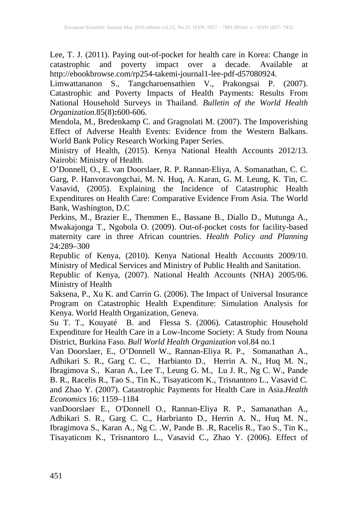Lee, T. J. (2011). Paying out-of-pocket for health care in Korea: Change in catastrophic and poverty impact over a decade. Available at http://ebookbrowse.com/rp254-takemi-journal1-lee-pdf-d57080924.

Limwattananon S., Tangcharoensathien V., Prakongsai P. (2007). Catastrophic and Poverty Impacts of Health Payments: Results From National Household Surveys in Thailand. *Bulletin of the World Health Organization.*85(8)**:**600-606.

Mendola, M., Bredenkamp C. and Gragnolati M. (2007). The Impoverishing Effect of Adverse Health Events: Evidence from the Western Balkans. World Bank Policy Research Working Paper Series.

Ministry of Health, (2015). Kenya National Health Accounts 2012/13. Nairobi: Ministry of Health.

O'Donnell, O., E. van Doorslaer, R. P. Rannan-Eliya, A. Somanathan, C. C. Garg, P. Hanvoravongchai, M. N. Huq, A. Karan, G. M. Leung, K. Tin, C. Vasavid, (2005). Explaining the Incidence of Catastrophic Health Expenditures on Health Care: Comparative Evidence From Asia. The World Bank, Washington, D.C

Perkins, M., Brazier E., Themmen E., Bassane B., Diallo D., Mutunga A., Mwakajonga T., Ngobola O. (2009). Out-of-pocket costs for facility-based maternity care in three African countries. *Health Policy and Planning* 24:289–300

Republic of Kenya, (2010). Kenya National Health Accounts 2009/10. Ministry of Medical Services and Ministry of Public Health and Sanitation.

Republic of Kenya, (2007). National Health Accounts (NHA) 2005/06. Ministry of Health

Saksena, P., Xu K. and Carrin G. (2006). The Impact of Universal Insurance Program on Catastrophic Health Expenditure: Simulation Analysis for Kenya. World Health Organization, Geneva.

Su T. T., Kouyaté B. and Flessa S. (2006). Catastrophic Household Expenditure for Health Care in a Low-Income Society: A Study from Nouna District, Burkina Faso. *Bull World Health Organization* vol.84 no.1

Van Doorslaer, E., O'Donnell W., Rannan-Eliya R. P., Somanathan A., Adhikari S. R., Garg C. C., Harbianto D., Herrin A. N., Huq M. N., Ibragimova S., Karan A., Lee T., Leung G. M., Lu J. R., Ng C. W., Pande B. R., Racelis R., Tao S., Tin K., Tisayaticom K., Trisnantoro L., Vasavid C. and Zhao Y. (2007). Catastrophic Payments for Health Care in Asia.*Health Economics* 16: 1159–1184

vanDoorslaer E., O'Donnell O., Rannan-Eliya R. P., Samanathan A., Adhikari S. R., Garg C. C., Harbrianto D., Herrin A. N., Huq M. N., Ibragimova S., Karan A., Ng C. .W, Pande B. .R, Racelis R., Tao S., Tin K., Tisayaticom K., Trisnantoro L., Vasavid C., Zhao Y. (2006). Effect of